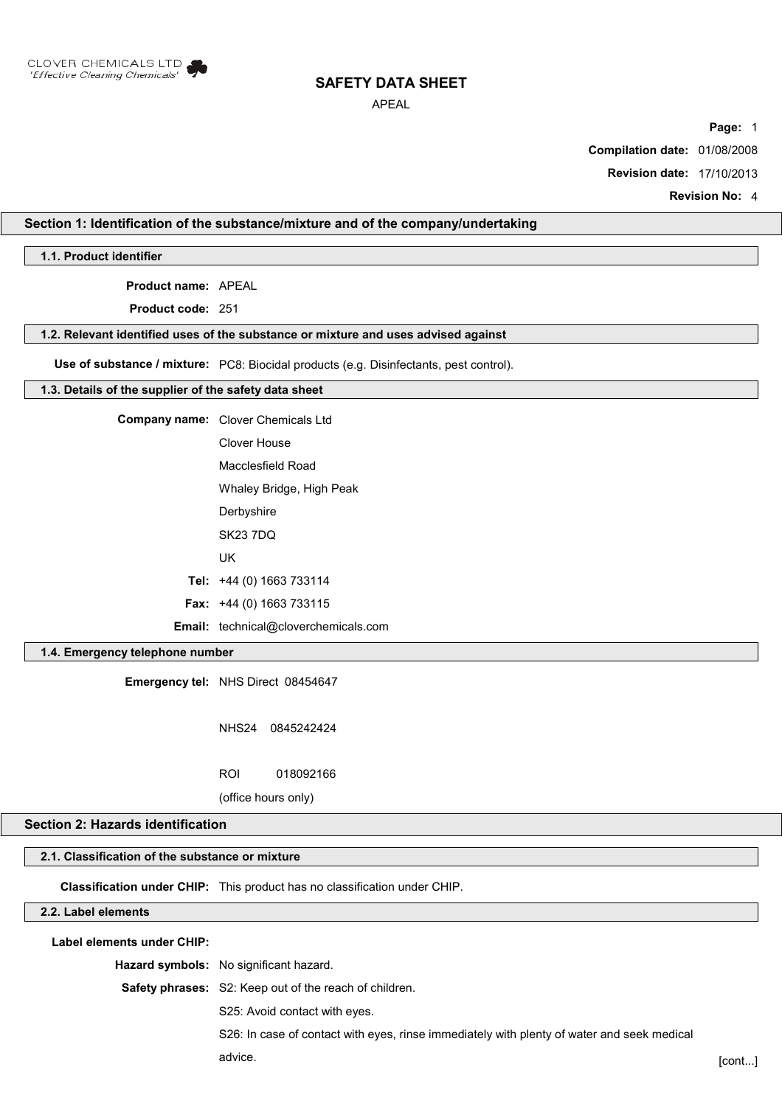

## APEAL

**Page:** 1

**Compilation date:** 01/08/2008

**Revision date:** 17/10/2013

**Revision No:** 4

## **Section 1: Identification of the substance/mixture and of the company/undertaking**

**1.1. Product identifier**

**Product name:** APEAL

**Product code:** 251

#### **1.2. Relevant identified uses of the substance or mixture and uses advised against**

**Use of substance / mixture:** PC8: Biocidal products (e.g. Disinfectants, pest control).

#### **1.3. Details of the supplier of the safety data sheet**

**Company name:** Clover Chemicals Ltd Clover House Macclesfield Road

Whaley Bridge, High Peak

**Derbyshire** 

SK23 7DQ

UK

**Tel:** +44 (0) 1663 733114

**Fax:** +44 (0) 1663 733115

**Email:** technical@cloverchemicals.com

## **1.4. Emergency telephone number**

**Emergency tel:** NHS Direct 08454647

NHS24 0845242424

ROI 018092166

(office hours only)

## **Section 2: Hazards identification**

## **2.1. Classification of the substance or mixture**

**Classification under CHIP:** This product has no classification under CHIP.

## **2.2. Label elements**

**Label elements under CHIP:**

**Hazard symbols:** No significant hazard.

**Safety phrases:** S2: Keep out of the reach of children.

S25: Avoid contact with eyes.

S26: In case of contact with eyes, rinse immediately with plenty of water and seek medical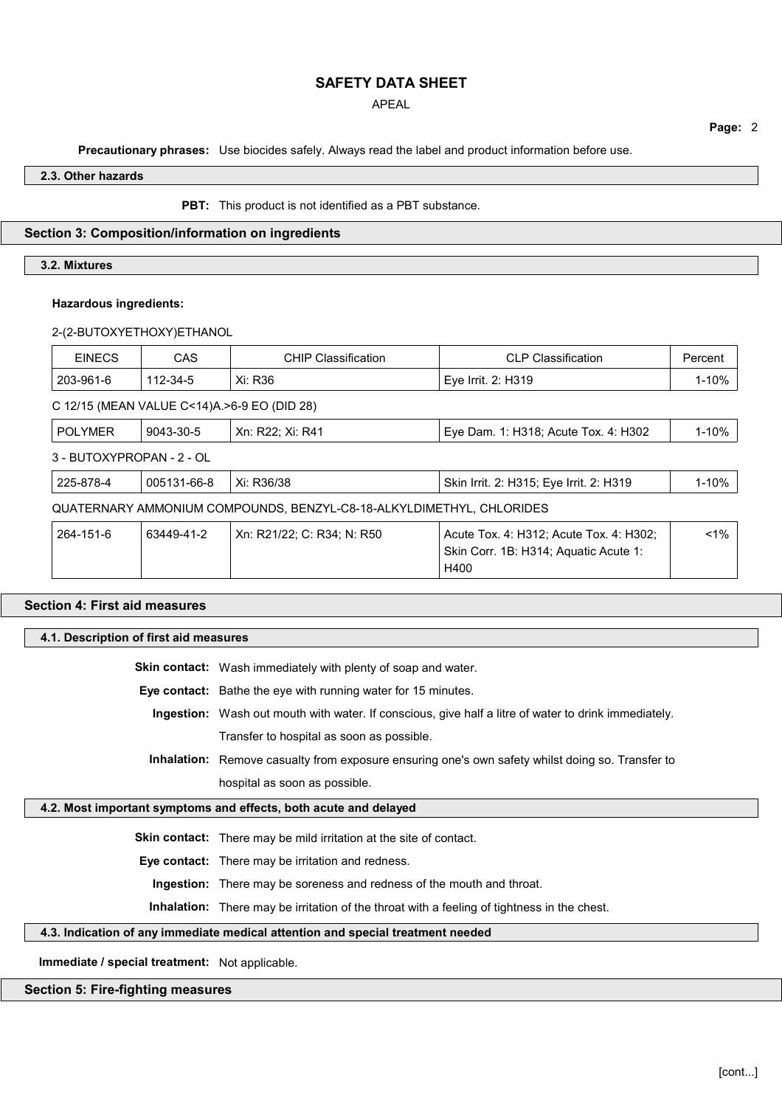APEAL

**Page:** 2

**Precautionary phrases:** Use biocides safely. Always read the label and product information before use.

**2.3. Other hazards**

**PBT:** This product is not identified as a PBT substance.

## **Section 3: Composition/information on ingredients**

## **3.2. Mixtures**

## **Hazardous ingredients:**

2-(2-BUTOXYETHOXY)ETHANOL

| <b>EINECS</b>                                                        | <b>CAS</b>  | <b>CHIP Classification</b> | <b>CLP Classification</b>                                                                | Percent   |
|----------------------------------------------------------------------|-------------|----------------------------|------------------------------------------------------------------------------------------|-----------|
| 203-961-6                                                            | 112-34-5    | Xi: R36                    | Eye Irrit. 2: H319                                                                       | 1-10%     |
| C 12/15 (MEAN VALUE C<14)A. >6-9 EO (DID 28)                         |             |                            |                                                                                          |           |
| <b>POLYMER</b>                                                       | 9043-30-5   | Xn: R22: Xi: R41           | Eye Dam. 1: H318; Acute Tox. 4: H302                                                     | 1-10%     |
| 3 - BUTOXYPROPAN - 2 - OL                                            |             |                            |                                                                                          |           |
| 225-878-4                                                            | 005131-66-8 | Xi: R36/38                 | Skin Irrit. 2: H315; Eye Irrit. 2: H319                                                  | $1 - 10%$ |
| QUATERNARY AMMONIUM COMPOUNDS, BENZYL-C8-18-ALKYLDIMETHYL, CHLORIDES |             |                            |                                                                                          |           |
| 264-151-6                                                            | 63449-41-2  | Xn: R21/22; C: R34; N: R50 | Acute Tox. 4: H312; Acute Tox. 4: H302;<br>Skin Corr. 1B: H314; Aquatic Acute 1:<br>H400 | $< 1\%$   |

# **Section 4: First aid measures 4.1. Description of first aid measures**

**Skin contact:** Wash immediately with plenty of soap and water.

**Eye contact:** Bathe the eye with running water for 15 minutes.

- **Ingestion:** Wash out mouth with water. If conscious, give half a litre of water to drink immediately. Transfer to hospital as soon as possible.
- **Inhalation:** Remove casualty from exposure ensuring one's own safety whilst doing so. Transfer to hospital as soon as possible.

## **4.2. Most important symptoms and effects, both acute and delayed**

**Skin contact:** There may be mild irritation at the site of contact.

**Eye contact:** There may be irritation and redness.

**Ingestion:** There may be soreness and redness of the mouth and throat.

**Inhalation:** There may be irritation of the throat with a feeling of tightness in the chest.

#### **4.3. Indication of any immediate medical attention and special treatment needed**

**Immediate / special treatment:** Not applicable.

## **Section 5: Fire-fighting measures**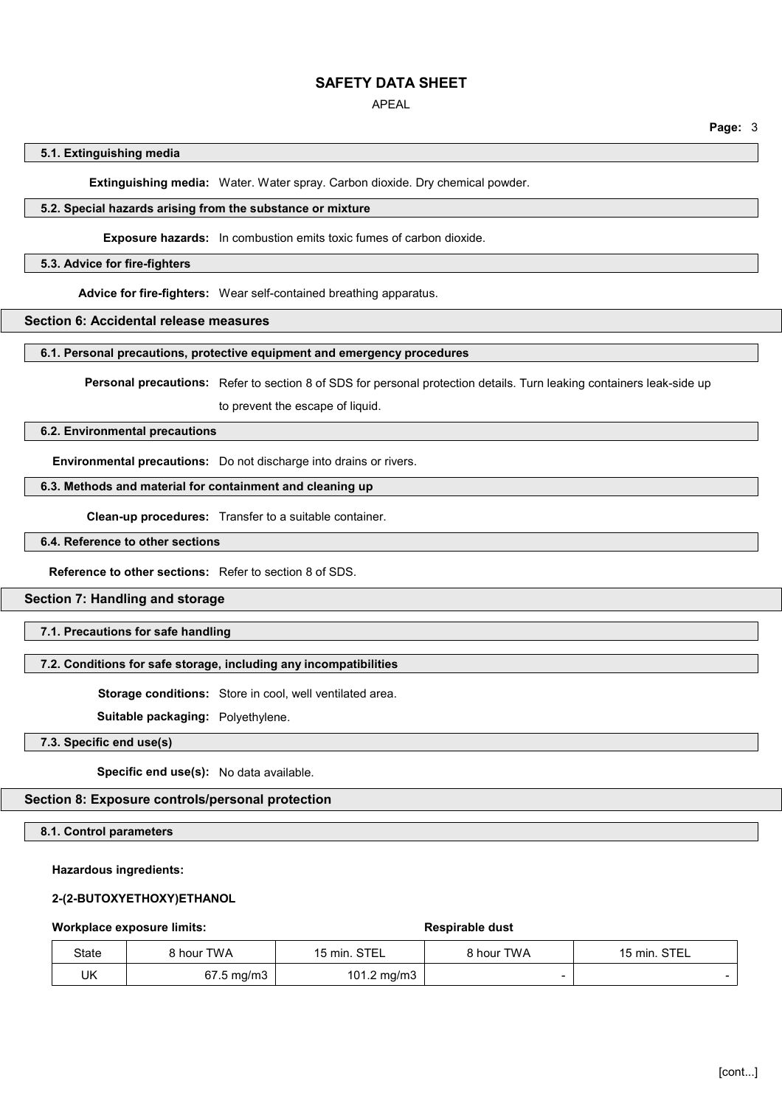## APEAL

**Page:** 3

#### **5.1. Extinguishing media**

**Extinguishing media:** Water. Water spray. Carbon dioxide. Dry chemical powder.

## **5.2. Special hazards arising from the substance or mixture**

#### **Exposure hazards:** In combustion emits toxic fumes of carbon dioxide.

#### **5.3. Advice for fire-fighters**

**Advice for fire-fighters:** Wear self-contained breathing apparatus.

## **Section 6: Accidental release measures**

## **6.1. Personal precautions, protective equipment and emergency procedures**

**Personal precautions:** Refer to section 8 of SDS for personal protection details. Turn leaking containers leak-side up

to prevent the escape of liquid.

#### **6.2. Environmental precautions**

**Environmental precautions:** Do not discharge into drains or rivers.

## **6.3. Methods and material for containment and cleaning up**

**Clean-up procedures:** Transfer to a suitable container.

## **6.4. Reference to other sections**

**Reference to other sections:** Refer to section 8 of SDS.

## **Section 7: Handling and storage**

## **7.1. Precautions for safe handling**

#### **7.2. Conditions for safe storage, including any incompatibilities**

**Storage conditions:** Store in cool, well ventilated area.

**Suitable packaging:** Polyethylene.

## **7.3. Specific end use(s)**

**Specific end use(s):** No data available.

## **Section 8: Exposure controls/personal protection**

#### **8.1. Control parameters**

## **Hazardous ingredients:**

#### **2-(2-BUTOXYETHOXY)ETHANOL**

**Workplace exposure limits: Respirable dust** 

| State | 3 hour TWA | 15 min. STEL | 8 hour TWA | 15 min. STEL |
|-------|------------|--------------|------------|--------------|
| UK    | 67.5 mg/m3 | 101.2 mg/m3  |            |              |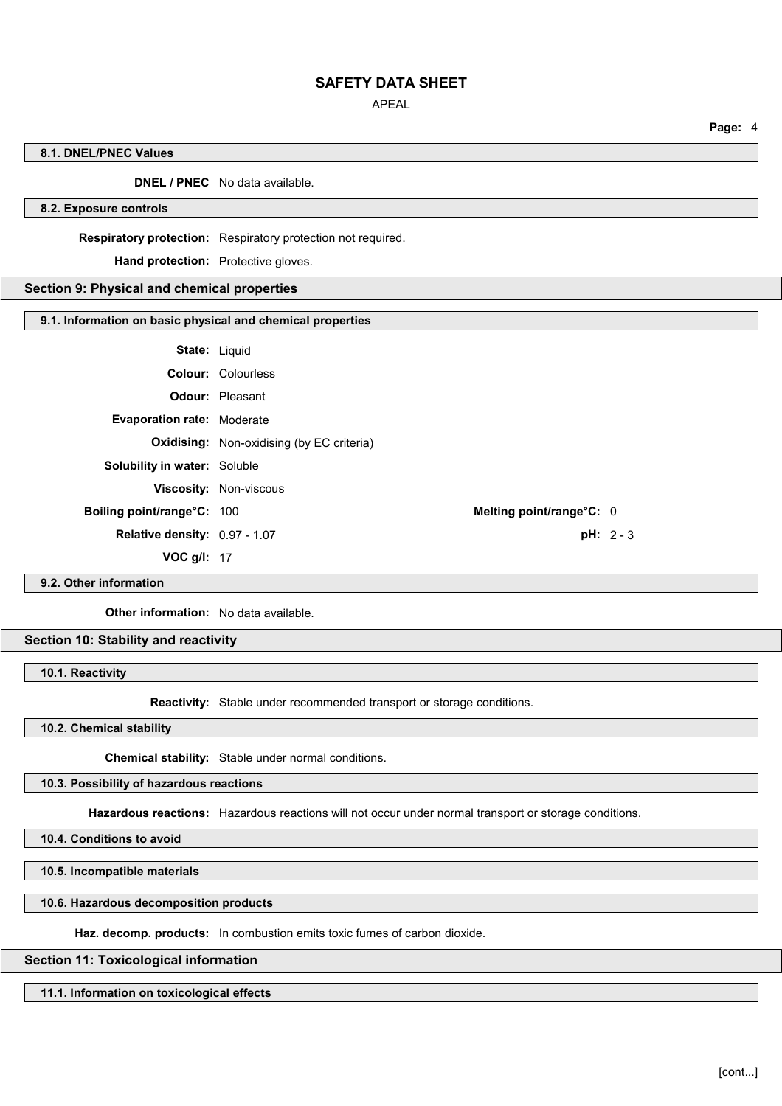APEAL

**Page:** 4

## **8.1. DNEL/PNEC Values**

## **DNEL / PNEC** No data available.

## **8.2. Exposure controls**

**Respiratory protection:** Respiratory protection not required.

**Hand protection:** Protective gloves.

## **Section 9: Physical and chemical properties**

#### **9.1. Information on basic physical and chemical properties**

| <b>State: Liquid</b>                |                                                  |             |
|-------------------------------------|--------------------------------------------------|-------------|
|                                     | <b>Colour: Colourless</b>                        |             |
|                                     | <b>Odour: Pleasant</b>                           |             |
| <b>Evaporation rate: Moderate</b>   |                                                  |             |
|                                     | <b>Oxidising:</b> Non-oxidising (by EC criteria) |             |
| <b>Solubility in water: Soluble</b> |                                                  |             |
|                                     | <b>Viscosity: Non-viscous</b>                    |             |
| Boiling point/range°C: 100          | Melting point/range°C: 0                         |             |
| Relative density: 0.97 - 1.07       |                                                  | $pH: 2 - 3$ |
| VOC $q/l$ : 17                      |                                                  |             |
|                                     |                                                  |             |

## **9.2. Other information**

**Other information:** No data available.

## **Section 10: Stability and reactivity**

**10.1. Reactivity**

**Reactivity:** Stable under recommended transport or storage conditions.

**10.2. Chemical stability**

**Chemical stability:** Stable under normal conditions.

#### **10.3. Possibility of hazardous reactions**

**Hazardous reactions:** Hazardous reactions will not occur under normal transport or storage conditions.

**10.4. Conditions to avoid**

**10.5. Incompatible materials**

## **10.6. Hazardous decomposition products**

**Haz. decomp. products:** In combustion emits toxic fumes of carbon dioxide.

## **Section 11: Toxicological information**

**11.1. Information on toxicological effects**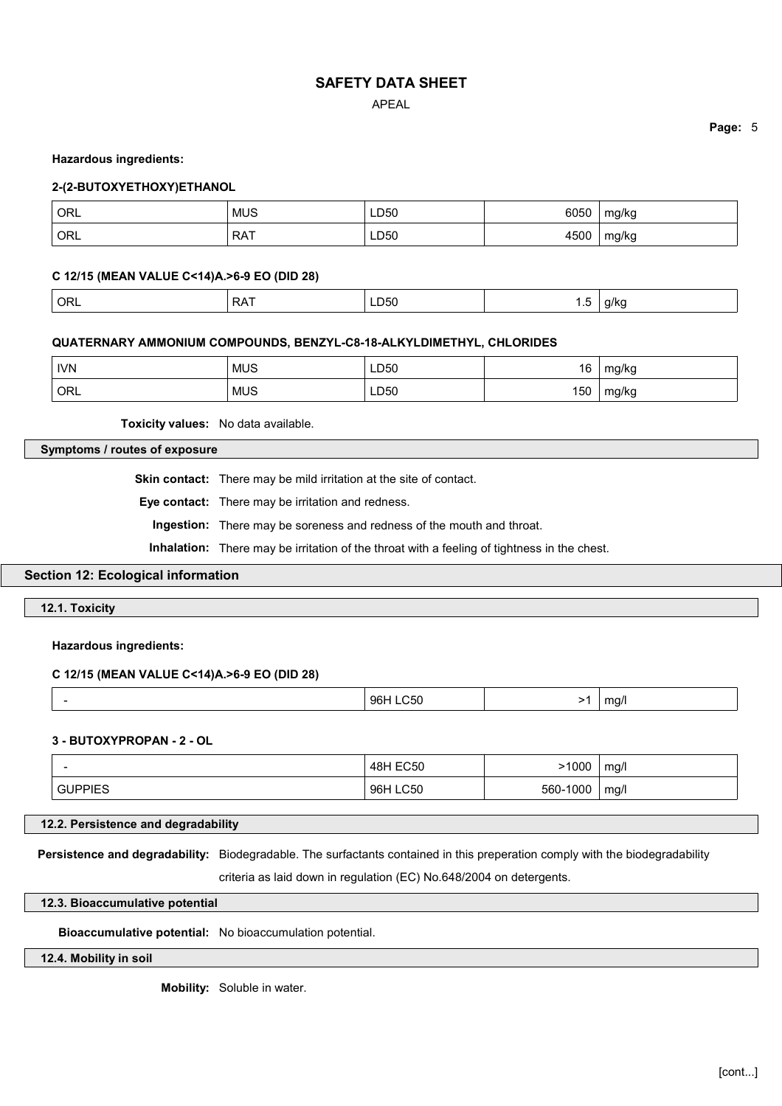APEAL

**Page:** 5

#### **Hazardous ingredients:**

## **2-(2-BUTOXYETHOXY)ETHANOL**

| ORL | <b>MUS</b> | LD50 | 6050 | mg/kg |
|-----|------------|------|------|-------|
| ORL | <b>RAT</b> | LD50 | 4500 | mg/kg |

## **C 12/15 (MEAN VALUE C<14)A.>6-9 EO (DID 28)**

| $^{\prime}$ Orl | <b>RAT</b> | LD50 | $-$<br>ک | a/ko<br>$\cdot$ $\cdot$ |
|-----------------|------------|------|----------|-------------------------|
|-----------------|------------|------|----------|-------------------------|

#### **QUATERNARY AMMONIUM COMPOUNDS, BENZYL-C8-18-ALKYLDIMETHYL, CHLORIDES**

| <b>IVN</b> | <b>MUS</b> | LD50        | 16  | $\sim$<br>n,<br>ີ          |
|------------|------------|-------------|-----|----------------------------|
| ORL        | <b>MUS</b> | LD50<br>___ | 150 | $\sim$ $\sim$<br>"/kყ<br>ັ |

**Toxicity values:** No data available.

## **Symptoms / routes of exposure**

**Skin contact:** There may be mild irritation at the site of contact.

**Eye contact:** There may be irritation and redness.

**Ingestion:** There may be soreness and redness of the mouth and throat.

**Inhalation:** There may be irritation of the throat with a feeling of tightness in the chest.

## **Section 12: Ecological information**

**12.1. Toxicity**

**Hazardous ingredients:**

## **C 12/15 (MEAN VALUE C<14)A.>6-9 EO (DID 28)**

|--|

## **3 - BUTOXYPROPAN - 2 - OL**

|                | <b>48H EC50</b> | 1000     | mg/  |
|----------------|-----------------|----------|------|
| <b>GUPPIES</b> | 96H LC50        | 560-1000 | mg/l |

**12.2. Persistence and degradability**

**Persistence and degradability:** Biodegradable. The surfactants contained in this preperation comply with the biodegradability

criteria as laid down in regulation (EC) No.648/2004 on detergents.

## **12.3. Bioaccumulative potential**

**Bioaccumulative potential:** No bioaccumulation potential.

**12.4. Mobility in soil**

**Mobility:** Soluble in water.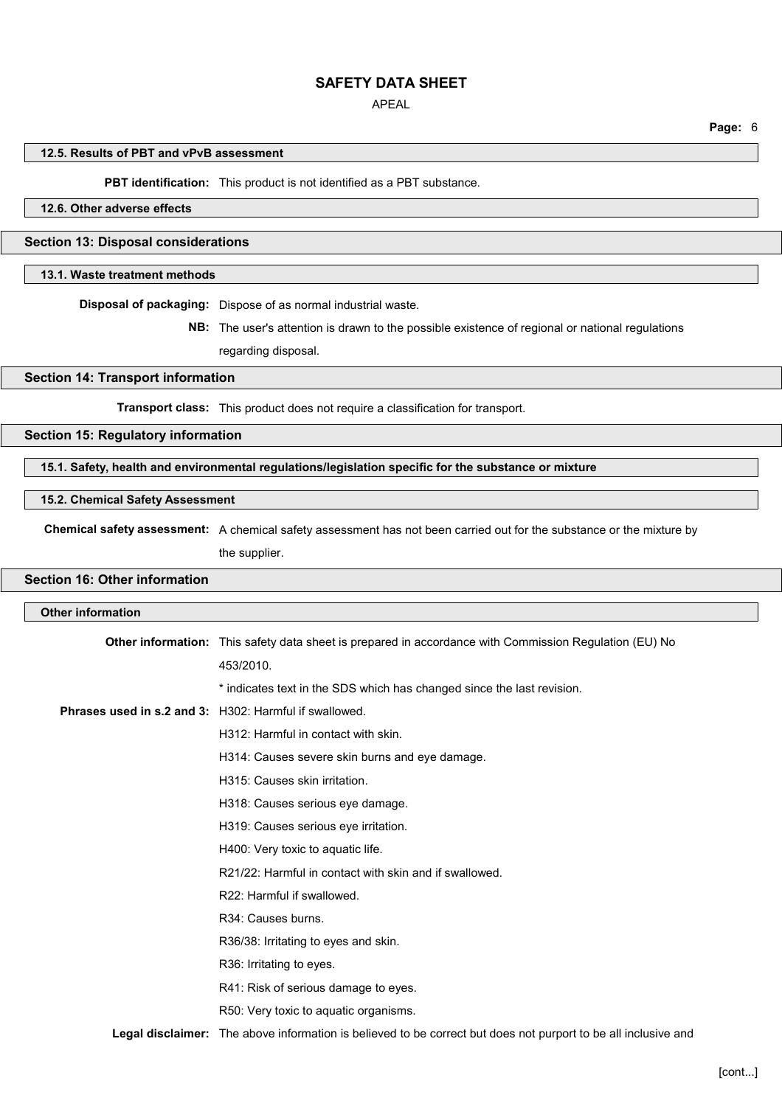## APEAL

**Page:** 6

#### **12.5. Results of PBT and vPvB assessment**

**PBT identification:** This product is not identified as a PBT substance.

## **12.6. Other adverse effects**

## **Section 13: Disposal considerations**

## **13.1. Waste treatment methods**

**Disposal of packaging:** Dispose of as normal industrial waste.

**NB:** The user's attention is drawn to the possible existence of regional or national regulations regarding disposal.

## **Section 14: Transport information**

**Transport class:** This product does not require a classification for transport.

#### **Section 15: Regulatory information**

**15.1. Safety, health and environmental regulations/legislation specific for the substance or mixture**

#### **15.2. Chemical Safety Assessment**

**Chemical safety assessment:** A chemical safety assessment has not been carried out for the substance or the mixture by

the supplier.

## **Section 16: Other information**

| Other information                                      |                                                                                                                |
|--------------------------------------------------------|----------------------------------------------------------------------------------------------------------------|
|                                                        | Other information: This safety data sheet is prepared in accordance with Commission Regulation (EU) No         |
|                                                        | 453/2010.                                                                                                      |
|                                                        | * indicates text in the SDS which has changed since the last revision.                                         |
| Phrases used in s.2 and 3: H302: Harmful if swallowed. |                                                                                                                |
|                                                        | H312: Harmful in contact with skin.                                                                            |
|                                                        | H314: Causes severe skin burns and eye damage.                                                                 |
|                                                        | H315: Causes skin irritation.                                                                                  |
|                                                        | H318: Causes serious eye damage.                                                                               |
|                                                        | H319: Causes serious eye irritation.                                                                           |
|                                                        | H400: Very toxic to aquatic life.                                                                              |
|                                                        | R21/22: Harmful in contact with skin and if swallowed.                                                         |
|                                                        | R22: Harmful if swallowed.                                                                                     |
|                                                        | R34: Causes burns.                                                                                             |
|                                                        | R36/38: Irritating to eyes and skin.                                                                           |
|                                                        | R36: Irritating to eyes.                                                                                       |
|                                                        | R41: Risk of serious damage to eyes.                                                                           |
|                                                        | R50: Very toxic to aquatic organisms.                                                                          |
|                                                        | Legal disclaimer: The above information is believed to be correct but does not purport to be all inclusive and |